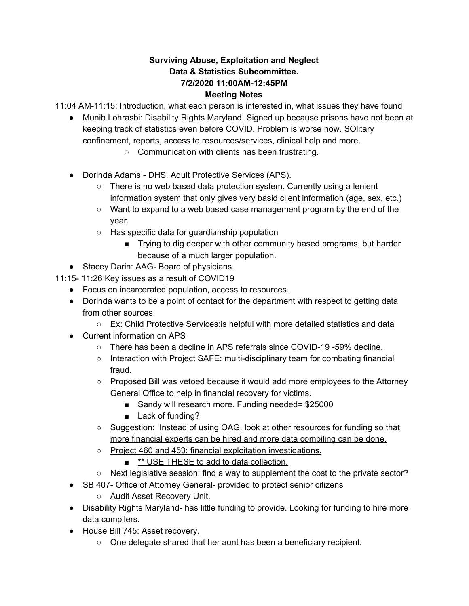#### **Surviving Abuse, Exploitation and Neglect Data & Statistics Subcommittee. 7/2/2020 11:00AM-12:45PM Meeting Notes**

11:04 AM-11:15: Introduction, what each person is interested in, what issues they have found

- Munib Lohrasbi: Disability Rights Maryland. Signed up because prisons have not been at keeping track of statistics even before COVID. Problem is worse now. SOlitary confinement, reports, access to resources/services, clinical help and more.
	- Communication with clients has been frustrating.
- Dorinda Adams DHS. Adult Protective Services (APS).
	- There is no web based data protection system. Currently using a lenient information system that only gives very basid client information (age, sex, etc.)
	- Want to expand to a web based case management program by the end of the year.
	- Has specific data for guardianship population
		- Trying to dig deeper with other community based programs, but harder because of a much larger population.
- Stacey Darin: AAG- Board of physicians.
- 11:15- 11:26 Key issues as a result of COVID19
	- Focus on incarcerated population, access to resources.
	- Dorinda wants to be a point of contact for the department with respect to getting data from other sources.
		- Ex: Child Protective Services:is helpful with more detailed statistics and data
	- Current information on APS
		- There has been a decline in APS referrals since COVID-19 -59% decline.
		- Interaction with Project SAFE: multi-disciplinary team for combating financial fraud.
		- Proposed Bill was vetoed because it would add more employees to the Attorney General Office to help in financial recovery for victims.
			- Sandy will research more. Funding needed= \$25000
			- Lack of funding?
		- o Suggestion: Instead of using OAG, look at other resources for funding so that more financial experts can be hired and more data compiling can be done.
		- Project 460 and 453: financial exploitation investigations.
			- **\*\* USE THESE to add to data collection.**
		- $\circ$  Next legislative session: find a way to supplement the cost to the private sector?
	- SB 407- Office of Attorney General- provided to protect senior citizens
		- Audit Asset Recovery Unit.
	- Disability Rights Maryland- has little funding to provide. Looking for funding to hire more data compilers.
	- House Bill 745: Asset recovery.
		- One delegate shared that her aunt has been a beneficiary recipient.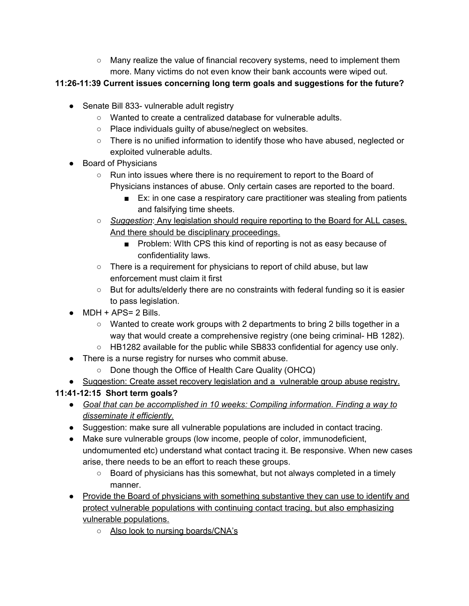○ Many realize the value of financial recovery systems, need to implement them more. Many victims do not even know their bank accounts were wiped out.

### **11:26-11:39 Current issues concerning long term goals and suggestions for the future?**

- Senate Bill 833- vulnerable adult registry
	- Wanted to create a centralized database for vulnerable adults.
	- Place individuals guilty of abuse/neglect on websites.
	- There is no unified information to identify those who have abused, neglected or exploited vulnerable adults.
- Board of Physicians
	- Run into issues where there is no requirement to report to the Board of Physicians instances of abuse. Only certain cases are reported to the board.
		- Ex: in one case a respiratory care practitioner was stealing from patients and falsifying time sheets.
	- *Suggestion*: Any legislation should require reporting to the Board for ALL cases. And there should be disciplinary proceedings.
		- Problem: With CPS this kind of reporting is not as easy because of confidentiality laws.
	- There is a requirement for physicians to report of child abuse, but law enforcement must claim it first
	- But for adults/elderly there are no constraints with federal funding so it is easier to pass legislation.
- $\bullet$  MDH + APS= 2 Bills.
	- Wanted to create work groups with 2 departments to bring 2 bills together in a way that would create a comprehensive registry (one being criminal- HB 1282).
	- HB1282 available for the public while SB833 confidential for agency use only.
- There is a nurse registry for nurses who commit abuse.
	- Done though the Office of Health Care Quality (OHCQ)
- Suggestion: Create asset recovery legislation and a vulnerable group abuse registry.

# **11:41-12:15 Short term goals?**

- *Goal that can be accomplished in 10 weeks: Compiling information. Finding a way to disseminate it efficiently.*
- Suggestion: make sure all vulnerable populations are included in contact tracing.
- Make sure vulnerable groups (low income, people of color, immunodeficient, undomumented etc) understand what contact tracing it. Be responsive. When new cases arise, there needs to be an effort to reach these groups.
	- Board of physicians has this somewhat, but not always completed in a timely manner.
- Provide the Board of physicians with something substantive they can use to identify and protect vulnerable populations with continuing contact tracing, but also emphasizing vulnerable populations.
	- Also look to nursing boards/CNA's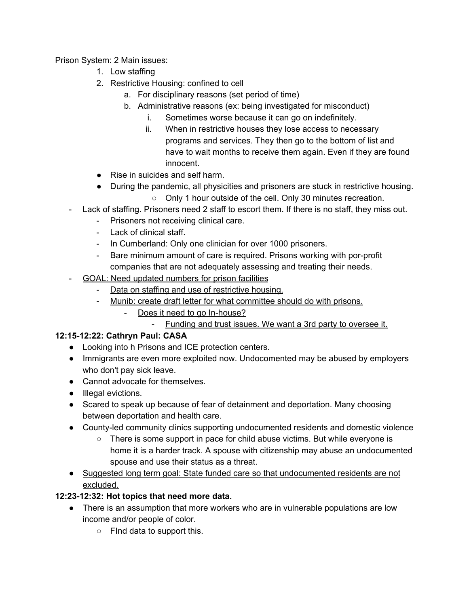Prison System: 2 Main issues:

- 1. Low staffing
- 2. Restrictive Housing: confined to cell
	- a. For disciplinary reasons (set period of time)
	- b. Administrative reasons (ex: being investigated for misconduct)
		- i. Sometimes worse because it can go on indefinitely.
		- ii. When in restrictive houses they lose access to necessary programs and services. They then go to the bottom of list and have to wait months to receive them again. Even if they are found innocent.
- Rise in suicides and self harm.
- During the pandemic, all physicities and prisoners are stuck in restrictive housing.
	- Only 1 hour outside of the cell. Only 30 minutes recreation.
- Lack of staffing. Prisoners need 2 staff to escort them. If there is no staff, they miss out.
	- Prisoners not receiving clinical care.
	- Lack of clinical staff.
	- In Cumberland: Only one clinician for over 1000 prisoners.
	- Bare minimum amount of care is required. Prisons working with por-profit companies that are not adequately assessing and treating their needs.
- GOAL: Need updated numbers for prison facilities
	- Data on staffing and use of restrictive housing.
	- Munib: create draft letter for what committee should do with prisons.
		- Does it need to go In-house?
			- Funding and trust issues. We want a 3rd party to oversee it.

### **12:15-12:22: Cathryn Paul: CASA**

- Looking into h Prisons and ICE protection centers.
- Immigrants are even more exploited now. Undocomented may be abused by employers who don't pay sick leave.
- Cannot advocate for themselves.
- Illegal evictions.
- Scared to speak up because of fear of detainment and deportation. Many choosing between deportation and health care.
- County-led community clinics supporting undocumented residents and domestic violence
	- There is some support in pace for child abuse victims. But while everyone is home it is a harder track. A spouse with citizenship may abuse an undocumented spouse and use their status as a threat.
- Suggested long term goal: State funded care so that undocumented residents are not excluded.

### **12:23-12:32: Hot topics that need more data.**

- There is an assumption that more workers who are in vulnerable populations are low income and/or people of color.
	- FInd data to support this.